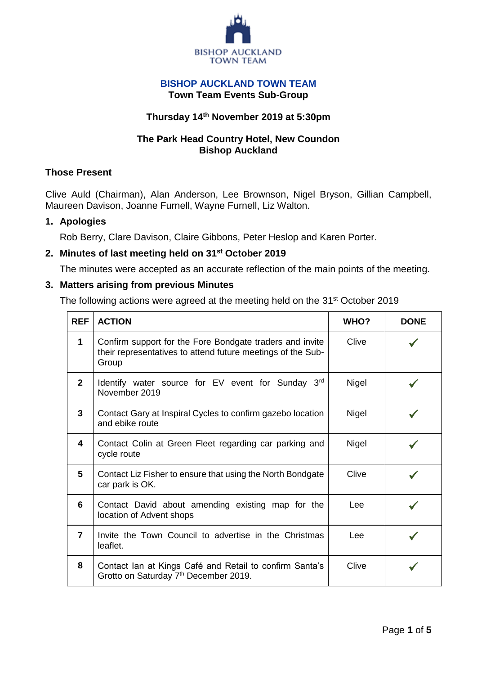

#### **BISHOP AUCKLAND TOWN TEAM Town Team Events Sub-Group**

## **Thursday 14th November 2019 at 5:30pm**

## **The Park Head Country Hotel, New Coundon Bishop Auckland**

## **Those Present**

Clive Auld (Chairman), Alan Anderson, Lee Brownson, Nigel Bryson, Gillian Campbell, Maureen Davison, Joanne Furnell, Wayne Furnell, Liz Walton.

### **1. Apologies**

Rob Berry, Clare Davison, Claire Gibbons, Peter Heslop and Karen Porter.

## **2. Minutes of last meeting held on 31st October 2019**

The minutes were accepted as an accurate reflection of the main points of the meeting.

### **3. Matters arising from previous Minutes**

The following actions were agreed at the meeting held on the 31<sup>st</sup> October 2019

| <b>REF</b>     | <b>ACTION</b>                                                                                                                    | <b>WHO?</b> | <b>DONE</b> |
|----------------|----------------------------------------------------------------------------------------------------------------------------------|-------------|-------------|
| $\mathbf 1$    | Confirm support for the Fore Bondgate traders and invite<br>their representatives to attend future meetings of the Sub-<br>Group | Clive       |             |
| $\mathbf{2}$   | Identify water source for EV event for Sunday 3rd<br>November 2019                                                               | Nigel       |             |
| 3              | Contact Gary at Inspiral Cycles to confirm gazebo location<br>and ebike route                                                    | Nigel       |             |
| 4              | Contact Colin at Green Fleet regarding car parking and<br>cycle route                                                            | Nigel       |             |
| 5              | Contact Liz Fisher to ensure that using the North Bondgate<br>car park is OK.                                                    | Clive       |             |
| 6              | Contact David about amending existing map for the<br>location of Advent shops                                                    | Lee         |             |
| $\overline{7}$ | Invite the Town Council to advertise in the Christmas<br>leaflet.                                                                | Lee         |             |
| 8              | Contact Ian at Kings Café and Retail to confirm Santa's<br>Grotto on Saturday 7 <sup>th</sup> December 2019.                     | Clive       |             |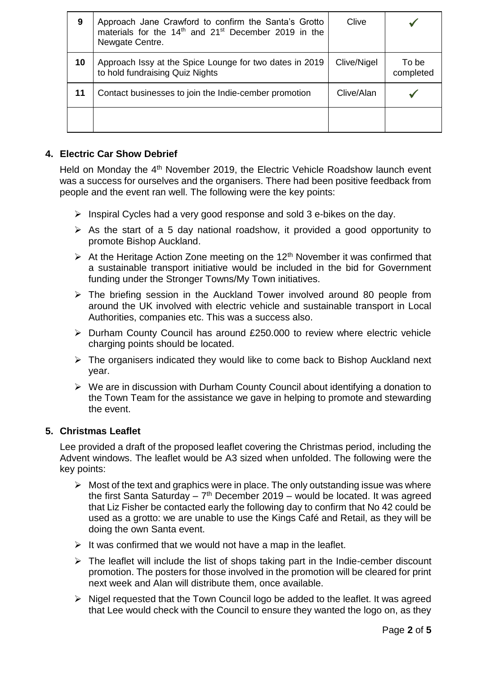| 9  | Approach Jane Crawford to confirm the Santa's Grotto<br>materials for the 14 <sup>th</sup> and 21 <sup>st</sup> December 2019 in the<br>Newgate Centre. | Clive       |                    |
|----|---------------------------------------------------------------------------------------------------------------------------------------------------------|-------------|--------------------|
| 10 | Approach Issy at the Spice Lounge for two dates in 2019<br>to hold fundraising Quiz Nights                                                              | Clive/Nigel | To be<br>completed |
| 11 | Contact businesses to join the Indie-cember promotion                                                                                                   | Clive/Alan  |                    |
|    |                                                                                                                                                         |             |                    |

# **4. Electric Car Show Debrief**

Held on Monday the 4<sup>th</sup> November 2019, the Electric Vehicle Roadshow launch event was a success for ourselves and the organisers. There had been positive feedback from people and the event ran well. The following were the key points:

- $\triangleright$  Inspiral Cycles had a very good response and sold 3 e-bikes on the day.
- $\triangleright$  As the start of a 5 day national roadshow, it provided a good opportunity to promote Bishop Auckland.
- $\triangleright$  At the Heritage Action Zone meeting on the 12<sup>th</sup> November it was confirmed that a sustainable transport initiative would be included in the bid for Government funding under the Stronger Towns/My Town initiatives.
- $\triangleright$  The briefing session in the Auckland Tower involved around 80 people from around the UK involved with electric vehicle and sustainable transport in Local Authorities, companies etc. This was a success also.
- Durham County Council has around £250.000 to review where electric vehicle charging points should be located.
- $\triangleright$  The organisers indicated they would like to come back to Bishop Auckland next year.
- $\triangleright$  We are in discussion with Durham County Council about identifying a donation to the Town Team for the assistance we gave in helping to promote and stewarding the event.

# **5. Christmas Leaflet**

Lee provided a draft of the proposed leaflet covering the Christmas period, including the Advent windows. The leaflet would be A3 sized when unfolded. The following were the key points:

- $\triangleright$  Most of the text and graphics were in place. The only outstanding issue was where the first Santa Saturday –  $7<sup>th</sup>$  December 2019 – would be located. It was agreed that Liz Fisher be contacted early the following day to confirm that No 42 could be used as a grotto: we are unable to use the Kings Café and Retail, as they will be doing the own Santa event.
- $\triangleright$  It was confirmed that we would not have a map in the leaflet.
- $\triangleright$  The leaflet will include the list of shops taking part in the Indie-cember discount promotion. The posters for those involved in the promotion will be cleared for print next week and Alan will distribute them, once available.
- $\triangleright$  Nigel requested that the Town Council logo be added to the leaflet. It was agreed that Lee would check with the Council to ensure they wanted the logo on, as they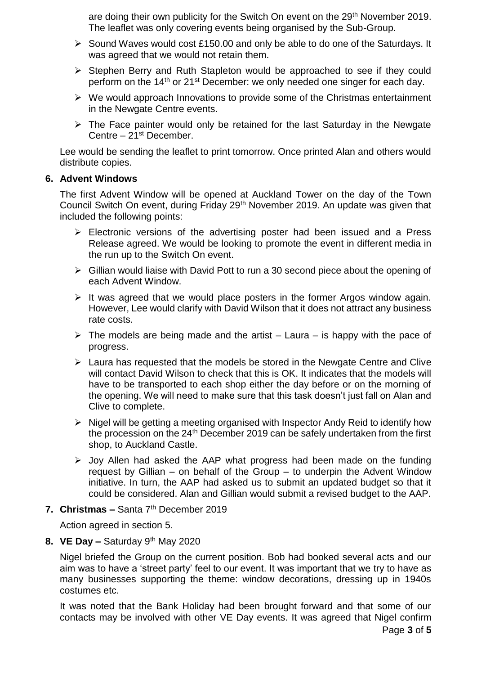are doing their own publicity for the Switch On event on the 29<sup>th</sup> November 2019. The leaflet was only covering events being organised by the Sub-Group.

- $\triangleright$  Sound Waves would cost £150.00 and only be able to do one of the Saturdays. It was agreed that we would not retain them.
- $\triangleright$  Stephen Berry and Ruth Stapleton would be approached to see if they could perform on the 14<sup>th</sup> or 21<sup>st</sup> December: we only needed one singer for each day.
- $\triangleright$  We would approach Innovations to provide some of the Christmas entertainment in the Newgate Centre events.
- $\triangleright$  The Face painter would only be retained for the last Saturday in the Newgate Centre – 21st December.

Lee would be sending the leaflet to print tomorrow. Once printed Alan and others would distribute copies.

### **6. Advent Windows**

The first Advent Window will be opened at Auckland Tower on the day of the Town Council Switch On event, during Friday 29<sup>th</sup> November 2019. An update was given that included the following points:

- $\triangleright$  Electronic versions of the advertising poster had been issued and a Press Release agreed. We would be looking to promote the event in different media in the run up to the Switch On event.
- $\triangleright$  Gillian would liaise with David Pott to run a 30 second piece about the opening of each Advent Window.
- $\triangleright$  It was agreed that we would place posters in the former Argos window again. However, Lee would clarify with David Wilson that it does not attract any business rate costs.
- $\triangleright$  The models are being made and the artist Laura is happy with the pace of progress.
- $\triangleright$  Laura has requested that the models be stored in the Newgate Centre and Clive will contact David Wilson to check that this is OK. It indicates that the models will have to be transported to each shop either the day before or on the morning of the opening. We will need to make sure that this task doesn't just fall on Alan and Clive to complete.
- $\triangleright$  Nigel will be getting a meeting organised with Inspector Andy Reid to identify how the procession on the  $24<sup>th</sup>$  December 2019 can be safely undertaken from the first shop, to Auckland Castle.
- $\triangleright$  Joy Allen had asked the AAP what progress had been made on the funding request by Gillian – on behalf of the Group – to underpin the Advent Window initiative. In turn, the AAP had asked us to submit an updated budget so that it could be considered. Alan and Gillian would submit a revised budget to the AAP.
- **7. Christmas –** Santa 7<sup>th</sup> December 2019

Action agreed in section 5.

# **8. VE Day –** Saturday 9th May 2020

Nigel briefed the Group on the current position. Bob had booked several acts and our aim was to have a 'street party' feel to our event. It was important that we try to have as many businesses supporting the theme: window decorations, dressing up in 1940s costumes etc.

It was noted that the Bank Holiday had been brought forward and that some of our contacts may be involved with other VE Day events. It was agreed that Nigel confirm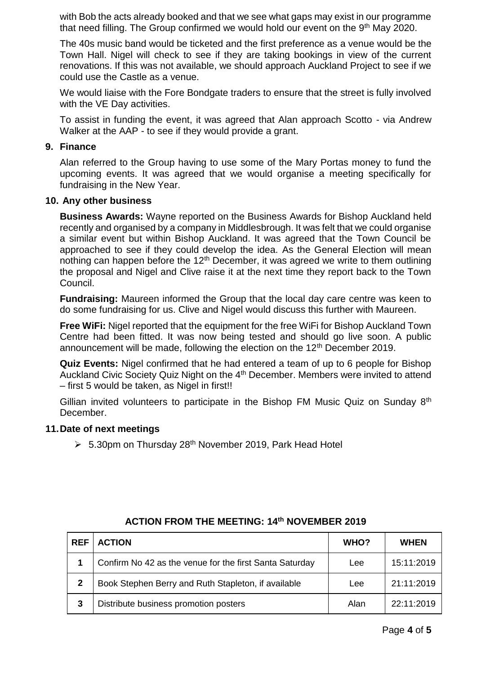with Bob the acts already booked and that we see what gaps may exist in our programme that need filling. The Group confirmed we would hold our event on the 9<sup>th</sup> May 2020.

The 40s music band would be ticketed and the first preference as a venue would be the Town Hall. Nigel will check to see if they are taking bookings in view of the current renovations. If this was not available, we should approach Auckland Project to see if we could use the Castle as a venue.

We would liaise with the Fore Bondgate traders to ensure that the street is fully involved with the VE Day activities.

To assist in funding the event, it was agreed that Alan approach Scotto - via Andrew Walker at the AAP - to see if they would provide a grant.

#### **9. Finance**

Alan referred to the Group having to use some of the Mary Portas money to fund the upcoming events. It was agreed that we would organise a meeting specifically for fundraising in the New Year.

#### **10. Any other business**

**Business Awards:** Wayne reported on the Business Awards for Bishop Auckland held recently and organised by a company in Middlesbrough. It was felt that we could organise a similar event but within Bishop Auckland. It was agreed that the Town Council be approached to see if they could develop the idea. As the General Election will mean nothing can happen before the  $12<sup>th</sup>$  December, it was agreed we write to them outlining the proposal and Nigel and Clive raise it at the next time they report back to the Town Council.

**Fundraising:** Maureen informed the Group that the local day care centre was keen to do some fundraising for us. Clive and Nigel would discuss this further with Maureen.

**Free WiFi:** Nigel reported that the equipment for the free WiFi for Bishop Auckland Town Centre had been fitted. It was now being tested and should go live soon. A public announcement will be made, following the election on the 12<sup>th</sup> December 2019.

**Quiz Events:** Nigel confirmed that he had entered a team of up to 6 people for Bishop Auckland Civic Society Quiz Night on the 4<sup>th</sup> December. Members were invited to attend – first 5 would be taken, as Nigel in first!!

Gillian invited volunteers to participate in the Bishop FM Music Quiz on Sunday 8<sup>th</sup> December.

#### **11.Date of next meetings**

 $\geq 5.30$ pm on Thursday 28<sup>th</sup> November 2019, Park Head Hotel

| <b>REF</b>   | <b>ACTION</b>                                           | <b>WHO?</b> | <b>WHEN</b> |
|--------------|---------------------------------------------------------|-------------|-------------|
|              | Confirm No 42 as the venue for the first Santa Saturday | Lee         | 15:11:2019  |
| $\mathbf{2}$ | Book Stephen Berry and Ruth Stapleton, if available     | Lee         | 21:11:2019  |
| 3            | Distribute business promotion posters                   | Alan        | 22:11:2019  |

### **ACTION FROM THE MEETING: 14th NOVEMBER 2019**